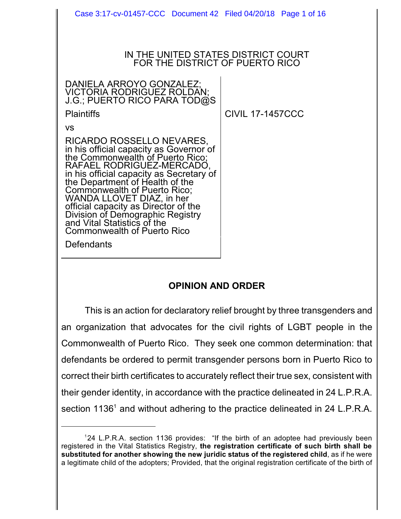| Case 3:17-cv-01457-CCC  Document 42  Filed 04/20/18  Page 1 of 16                                                                                                                                                                                                                                                                                                                                                                  |                         |
|------------------------------------------------------------------------------------------------------------------------------------------------------------------------------------------------------------------------------------------------------------------------------------------------------------------------------------------------------------------------------------------------------------------------------------|-------------------------|
|                                                                                                                                                                                                                                                                                                                                                                                                                                    |                         |
| IN THE UNITED STATES DISTRICT COURT<br>FOR THE DISTRICT OF PUERTO RICO                                                                                                                                                                                                                                                                                                                                                             |                         |
| DANIELA ARROYO GONZALEZ;<br>VICTORIA RODRIGUEZ ROLDAN;<br>J.G.; PUERTO RICO PARA TOD@S                                                                                                                                                                                                                                                                                                                                             |                         |
| <b>Plaintiffs</b>                                                                                                                                                                                                                                                                                                                                                                                                                  | <b>CIVIL 17-1457CCC</b> |
| VS                                                                                                                                                                                                                                                                                                                                                                                                                                 |                         |
| RICARDO ROSSELLO NEVARES,<br>in his official capacity as Governor of<br>the Commonwealth of Puerto Rico;<br>RAFAEL RODRIGUEZ-MERCADO,<br>in his official capacity as Secretary of<br>the Department of Health of the<br>Commonwealth of Puerto Rico;<br>WANDA LLOVET DIAZ, in her<br>official capacity as Director of the<br>Division of Demographic Registry<br>and Vital Statistics of the<br><b>Commonwealth of Puerto Rico</b> |                         |
| Defendants                                                                                                                                                                                                                                                                                                                                                                                                                         |                         |

# **OPINION AND ORDER**

This is an action for declaratory relief brought by three transgenders and an organization that advocates for the civil rights of LGBT people in the Commonwealth of Puerto Rico. They seek one common determination: that defendants be ordered to permit transgender persons born in Puerto Rico to correct their birth certificates to accurately reflect their true sex, consistent with their gender identity, in accordance with the practice delineated in 24 L.P.R.A. section 1136<sup>1</sup> and without adhering to the practice delineated in 24 L.P.R.A.

<sup>&</sup>lt;sup>1</sup>24 L.P.R.A. section 1136 provides: "If the birth of an adoptee had previously been registered in the Vital Statistics Registry, **the registration certificate of such birth shall be substituted for another showing the new juridic status of the registered child**, as if he were a legitimate child of the adopters; Provided, that the original registration certificate of the birth of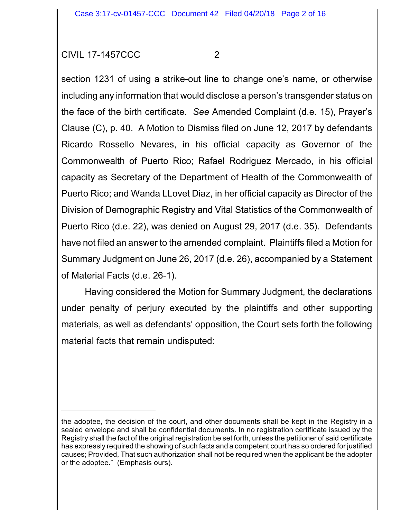section 1231 of using a strike-out line to change one's name, or otherwise including any information that would disclose a person's transgender status on the face of the birth certificate. *See* Amended Complaint (d.e. 15), Prayer's Clause (C), p. 40. A Motion to Dismiss filed on June 12, 2017 by defendants Ricardo Rossello Nevares, in his official capacity as Governor of the Commonwealth of Puerto Rico; Rafael Rodriguez Mercado, in his official capacity as Secretary of the Department of Health of the Commonwealth of Puerto Rico; and Wanda LLovet Diaz, in her official capacity as Director of the Division of Demographic Registry and Vital Statistics of the Commonwealth of Puerto Rico (d.e. 22), was denied on August 29, 2017 (d.e. 35). Defendants have not filed an answer to the amended complaint. Plaintiffs filed a Motion for Summary Judgment on June 26, 2017 (d.e. 26), accompanied by a Statement of Material Facts (d.e. 26-1).

Having considered the Motion for Summary Judgment, the declarations under penalty of perjury executed by the plaintiffs and other supporting materials, as well as defendants' opposition, the Court sets forth the following material facts that remain undisputed:

the adoptee, the decision of the court, and other documents shall be kept in the Registry in a sealed envelope and shall be confidential documents. In no registration certificate issued by the Registry shall the fact of the original registration be set forth, unless the petitioner of said certificate has expressly required the showing of such facts and a competent court has so ordered for justified causes; Provided, That such authorization shall not be required when the applicant be the adopter or the adoptee." (Emphasis ours).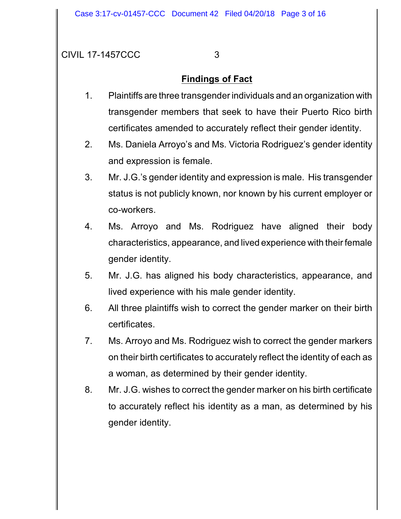# **Findings of Fact**

- 1. Plaintiffs are three transgender individuals and an organization with transgender members that seek to have their Puerto Rico birth certificates amended to accurately reflect their gender identity.
- 2. Ms. Daniela Arroyo's and Ms. Victoria Rodriguez's gender identity and expression is female.
- 3. Mr. J.G.'s gender identity and expression is male. His transgender status is not publicly known, nor known by his current employer or co-workers.
- 4. Ms. Arroyo and Ms. Rodriguez have aligned their body characteristics, appearance, and lived experience with their female gender identity.
- 5. Mr. J.G. has aligned his body characteristics, appearance, and lived experience with his male gender identity.
- 6. All three plaintiffs wish to correct the gender marker on their birth certificates.
- 7. Ms. Arroyo and Ms. Rodriguez wish to correct the gender markers on their birth certificates to accurately reflect the identity of each as a woman, as determined by their gender identity.
- 8. Mr. J.G. wishes to correct the gender marker on his birth certificate to accurately reflect his identity as a man, as determined by his gender identity.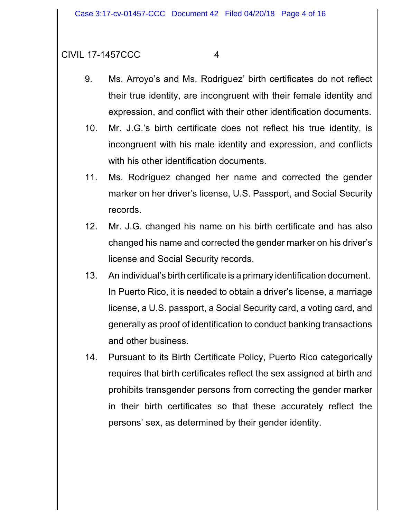- 9. Ms. Arroyo's and Ms. Rodriguez' birth certificates do not reflect their true identity, are incongruent with their female identity and expression, and conflict with their other identification documents.
- 10. Mr. J.G.'s birth certificate does not reflect his true identity, is incongruent with his male identity and expression, and conflicts with his other identification documents.
- 11. Ms. Rodríguez changed her name and corrected the gender marker on her driver's license, U.S. Passport, and Social Security records.
- 12. Mr. J.G. changed his name on his birth certificate and has also changed his name and corrected the gender marker on his driver's license and Social Security records.
- 13. An individual's birth certificate is a primary identification document. In Puerto Rico, it is needed to obtain a driver's license, a marriage license, a U.S. passport, a Social Security card, a voting card, and generally as proof of identification to conduct banking transactions and other business.
- 14. Pursuant to its Birth Certificate Policy, Puerto Rico categorically requires that birth certificates reflect the sex assigned at birth and prohibits transgender persons from correcting the gender marker in their birth certificates so that these accurately reflect the persons' sex, as determined by their gender identity.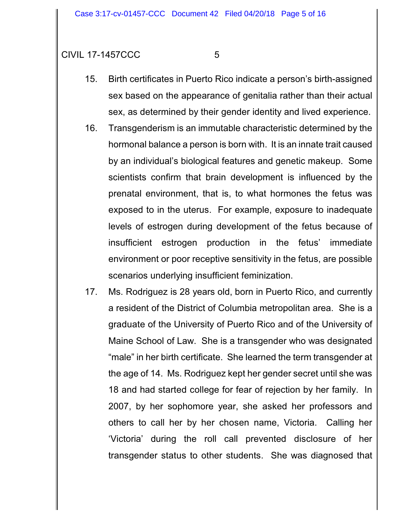- 15. Birth certificates in Puerto Rico indicate a person's birth-assigned sex based on the appearance of genitalia rather than their actual sex, as determined by their gender identity and lived experience.
- 16. Transgenderism is an immutable characteristic determined by the hormonal balance a person is born with. It is an innate trait caused by an individual's biological features and genetic makeup. Some scientists confirm that brain development is influenced by the prenatal environment, that is, to what hormones the fetus was exposed to in the uterus. For example, exposure to inadequate levels of estrogen during development of the fetus because of insufficient estrogen production in the fetus' immediate environment or poor receptive sensitivity in the fetus, are possible scenarios underlying insufficient feminization.
- 17. Ms. Rodriguez is 28 years old, born in Puerto Rico, and currently a resident of the District of Columbia metropolitan area. She is a graduate of the University of Puerto Rico and of the University of Maine School of Law. She is a transgender who was designated "male" in her birth certificate. She learned the term transgender at the age of 14. Ms. Rodriguez kept her gender secret until she was 18 and had started college for fear of rejection by her family. In 2007, by her sophomore year, she asked her professors and others to call her by her chosen name, Victoria. Calling her 'Victoria' during the roll call prevented disclosure of her transgender status to other students. She was diagnosed that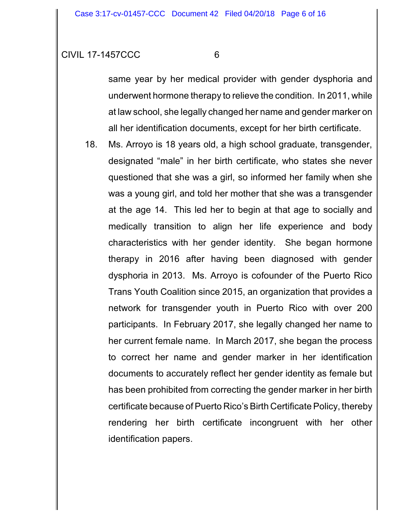same year by her medical provider with gender dysphoria and underwent hormone therapy to relieve the condition. In 2011, while at law school, she legally changed her name and gender marker on all her identification documents, except for her birth certificate.

18. Ms. Arroyo is 18 years old, a high school graduate, transgender, designated "male" in her birth certificate, who states she never questioned that she was a girl, so informed her family when she was a young girl, and told her mother that she was a transgender at the age 14. This led her to begin at that age to socially and medically transition to align her life experience and body characteristics with her gender identity. She began hormone therapy in 2016 after having been diagnosed with gender dysphoria in 2013. Ms. Arroyo is cofounder of the Puerto Rico Trans Youth Coalition since 2015, an organization that provides a network for transgender youth in Puerto Rico with over 200 participants. In February 2017, she legally changed her name to her current female name. In March 2017, she began the process to correct her name and gender marker in her identification documents to accurately reflect her gender identity as female but has been prohibited from correcting the gender marker in her birth certificate because of Puerto Rico's Birth Certificate Policy, thereby rendering her birth certificate incongruent with her other identification papers.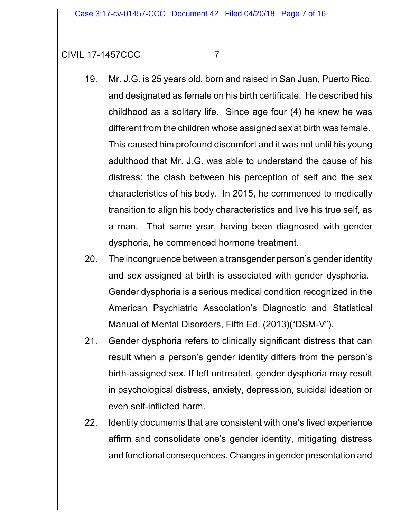- 
- 19. Mr. J.G. is 25 years old, born and raised in San Juan, Puerto Rico, and designated as female on his birth certificate. He described his childhood as a solitary life. Since age four (4) he knew he was different from the children whose assigned sex at birth was female. This caused him profound discomfort and it was not until his young adulthood that Mr. J.G. was able to understand the cause of his distress: the clash between his perception of self and the sex characteristics of his body. In 2015, he commenced to medically transition to align his body characteristics and live his true self, as a man. That same year, having been diagnosed with gender dysphoria, he commenced hormone treatment.
- 20. The incongruence between a transgender person's gender identity and sex assigned at birth is associated with gender dysphoria. Gender dysphoria is a serious medical condition recognized in the American Psychiatric Association's Diagnostic and Statistical Manual of Mental Disorders, Fifth Ed. (2013)("DSM-V").
- 21. Gender dysphoria refers to clinically significant distress that can result when a person's gender identity differs from the person's birth-assigned sex. If left untreated, gender dysphoria may result in psychological distress, anxiety, depression, suicidal ideation or even self-inflicted harm.
- 22. Identity documents that are consistent with one's lived experience affirm and consolidate one's gender identity, mitigating distress and functional consequences. Changes in gender presentation and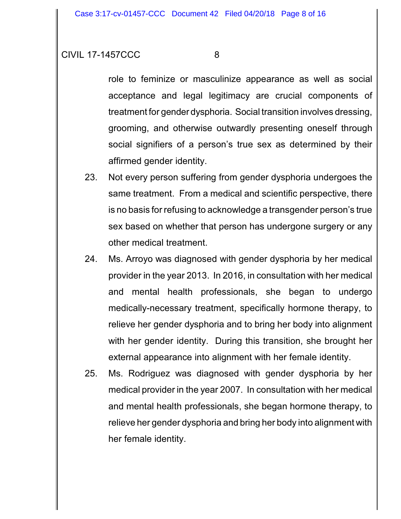role to feminize or masculinize appearance as well as social acceptance and legal legitimacy are crucial components of treatment for gender dysphoria. Social transition involves dressing, grooming, and otherwise outwardly presenting oneself through social signifiers of a person's true sex as determined by their affirmed gender identity.

- 23. Not every person suffering from gender dysphoria undergoes the same treatment. From a medical and scientific perspective, there is no basis for refusing to acknowledge a transgender person's true sex based on whether that person has undergone surgery or any other medical treatment.
- 24. Ms. Arroyo was diagnosed with gender dysphoria by her medical provider in the year 2013. In 2016, in consultation with her medical and mental health professionals, she began to undergo medically-necessary treatment, specifically hormone therapy, to relieve her gender dysphoria and to bring her body into alignment with her gender identity. During this transition, she brought her external appearance into alignment with her female identity.
- 25. Ms. Rodriguez was diagnosed with gender dysphoria by her medical provider in the year 2007. In consultation with her medical and mental health professionals, she began hormone therapy, to relieve her gender dysphoria and bring her body into alignment with her female identity.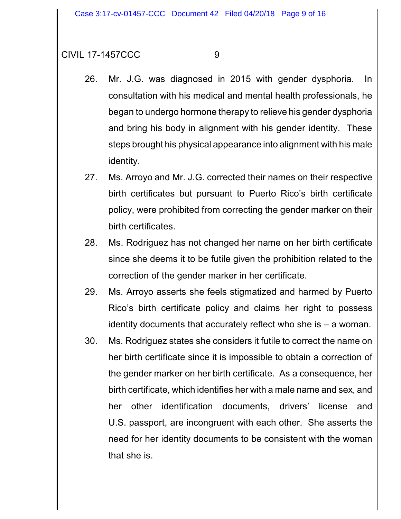- 
- 26. Mr. J.G. was diagnosed in 2015 with gender dysphoria. In consultation with his medical and mental health professionals, he began to undergo hormone therapy to relieve his gender dysphoria and bring his body in alignment with his gender identity. These steps brought his physical appearance into alignment with his male identity.
- 27. Ms. Arroyo and Mr. J.G. corrected their names on their respective birth certificates but pursuant to Puerto Rico's birth certificate policy, were prohibited from correcting the gender marker on their birth certificates.
- 28. Ms. Rodriguez has not changed her name on her birth certificate since she deems it to be futile given the prohibition related to the correction of the gender marker in her certificate.
- 29. Ms. Arroyo asserts she feels stigmatized and harmed by Puerto Rico's birth certificate policy and claims her right to possess identity documents that accurately reflect who she is – a woman.
- 30. Ms. Rodriguez states she considers it futile to correct the name on her birth certificate since it is impossible to obtain a correction of the gender marker on her birth certificate. As a consequence, her birth certificate, which identifies her with a male name and sex, and her other identification documents, drivers' license and U.S. passport, are incongruent with each other. She asserts the need for her identity documents to be consistent with the woman that she is.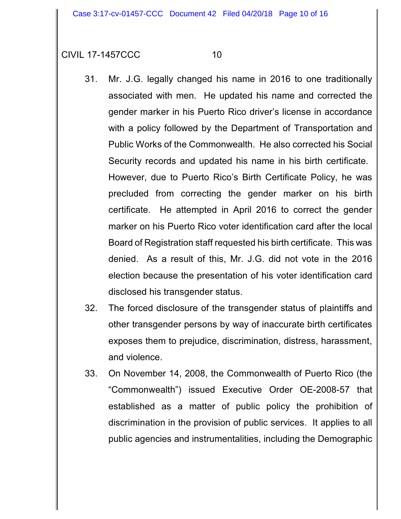- 31. Mr. J.G. legally changed his name in 2016 to one traditionally associated with men. He updated his name and corrected the gender marker in his Puerto Rico driver's license in accordance with a policy followed by the Department of Transportation and Public Works of the Commonwealth. He also corrected his Social Security records and updated his name in his birth certificate. However, due to Puerto Rico's Birth Certificate Policy, he was precluded from correcting the gender marker on his birth certificate. He attempted in April 2016 to correct the gender marker on his Puerto Rico voter identification card after the local Board of Registration staff requested his birth certificate. This was denied. As a result of this, Mr. J.G. did not vote in the 2016 election because the presentation of his voter identification card disclosed his transgender status.
- 32. The forced disclosure of the transgender status of plaintiffs and other transgender persons by way of inaccurate birth certificates exposes them to prejudice, discrimination, distress, harassment, and violence.
- 33. On November 14, 2008, the Commonwealth of Puerto Rico (the "Commonwealth") issued Executive Order OE-2008-57 that established as a matter of public policy the prohibition of discrimination in the provision of public services. It applies to all public agencies and instrumentalities, including the Demographic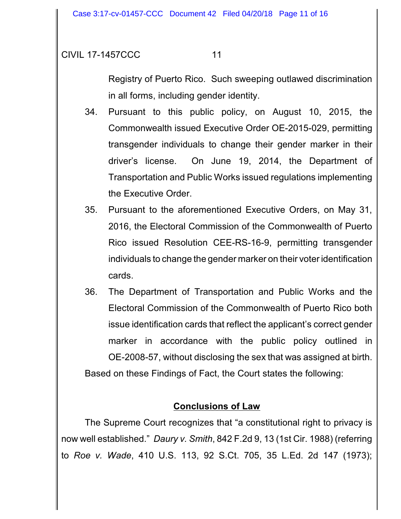Registry of Puerto Rico. Such sweeping outlawed discrimination in all forms, including gender identity.

- 34. Pursuant to this public policy, on August 10, 2015, the Commonwealth issued Executive Order OE-2015-029, permitting transgender individuals to change their gender marker in their driver's license. On June 19, 2014, the Department of Transportation and Public Works issued regulations implementing the Executive Order.
- 35. Pursuant to the aforementioned Executive Orders, on May 31, 2016, the Electoral Commission of the Commonwealth of Puerto Rico issued Resolution CEE-RS-16-9, permitting transgender individuals to change the gender marker on their voter identification cards.
- 36. The Department of Transportation and Public Works and the Electoral Commission of the Commonwealth of Puerto Rico both issue identification cards that reflect the applicant's correct gender marker in accordance with the public policy outlined in OE-2008-57, without disclosing the sex that was assigned at birth. Based on these Findings of Fact, the Court states the following:

### **Conclusions of Law**

The Supreme Court recognizes that "a constitutional right to privacy is now well established." *Daury v. Smith*, 842 F.2d 9, 13 (1st Cir. 1988) (referring to *Roe v. Wade*, 410 U.S. 113, 92 S.Ct. 705, 35 L.Ed. 2d 147 (1973);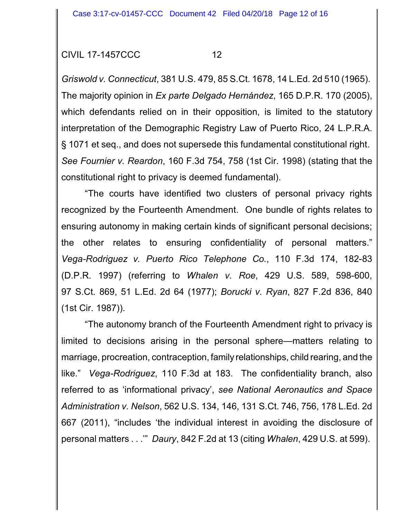*Griswold v. Connecticut*, 381 U.S. 479, 85 S.Ct. 1678, 14 L.Ed. 2d 510 (1965). The majority opinion in *Ex parte Delgado Hernández*, 165 D.P.R. 170 (2005), which defendants relied on in their opposition, is limited to the statutory interpretation of the Demographic Registry Law of Puerto Rico, 24 L.P.R.A. § 1071 et seq., and does not supersede this fundamental constitutional right. *See Fournier v. Reardon*, 160 F.3d 754, 758 (1st Cir. 1998) (stating that the constitutional right to privacy is deemed fundamental).

"The courts have identified two clusters of personal privacy rights recognized by the Fourteenth Amendment. One bundle of rights relates to ensuring autonomy in making certain kinds of significant personal decisions; the other relates to ensuring confidentiality of personal matters." *Vega-Rodriguez v. Puerto Rico Telephone Co.*, 110 F.3d 174, 182-83 (D.P.R. 1997) (referring to *Whalen v. Roe*, 429 U.S. 589, 598-600, 97 S.Ct. 869, 51 L.Ed. 2d 64 (1977); *Borucki v. Ryan*, 827 F.2d 836, 840 (1st Cir. 1987)).

"The autonomy branch of the Fourteenth Amendment right to privacy is limited to decisions arising in the personal sphere—matters relating to marriage, procreation, contraception, family relationships, child rearing, and the like." *Vega-Rodriguez*, 110 F.3d at 183. The confidentiality branch, also referred to as 'informational privacy', *see National Aeronautics and Space Administration v. Nelson*, 562 U.S. 134, 146, 131 S.Ct. 746, 756, 178 L.Ed. 2d 667 (2011), "includes 'the individual interest in avoiding the disclosure of personal matters . . .'" *Daury*, 842 F.2d at 13 (citing *Whalen*, 429 U.S. at 599).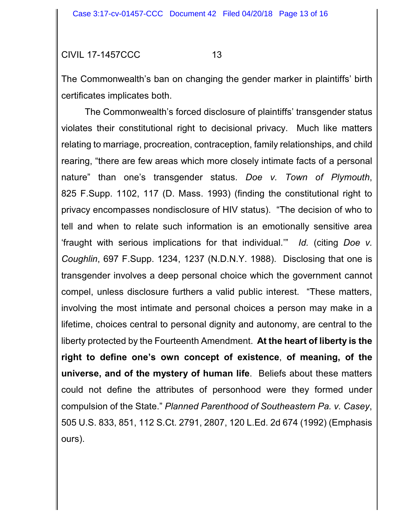The Commonwealth's ban on changing the gender marker in plaintiffs' birth certificates implicates both.

The Commonwealth's forced disclosure of plaintiffs' transgender status violates their constitutional right to decisional privacy. Much like matters relating to marriage, procreation, contraception, family relationships, and child rearing, "there are few areas which more closely intimate facts of a personal nature" than one's transgender status. *Doe v. Town of Plymouth*, 825 F.Supp. 1102, 117 (D. Mass. 1993) (finding the constitutional right to privacy encompasses nondisclosure of HIV status). "The decision of who to tell and when to relate such information is an emotionally sensitive area 'fraught with serious implications for that individual.'" *Id.* (citing *Doe v. Coughlin*, 697 F.Supp. 1234, 1237 (N.D.N.Y. 1988). Disclosing that one is transgender involves a deep personal choice which the government cannot compel, unless disclosure furthers a valid public interest. "These matters, involving the most intimate and personal choices a person may make in a lifetime, choices central to personal dignity and autonomy, are central to the liberty protected by the Fourteenth Amendment. **At the heart of liberty is the right to define one's own concept of existence**, **of meaning, of the universe, and of the mystery of human life**. Beliefs about these matters could not define the attributes of personhood were they formed under compulsion of the State." *Planned Parenthood of Southeastern Pa. v. Casey*, 505 U.S. 833, 851, 112 S.Ct. 2791, 2807, 120 L.Ed. 2d 674 (1992) (Emphasis ours).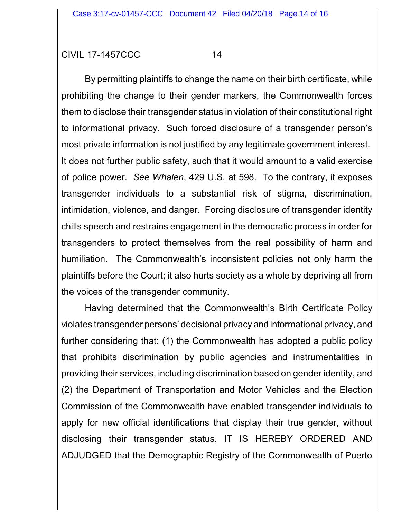By permitting plaintiffs to change the name on their birth certificate, while prohibiting the change to their gender markers, the Commonwealth forces them to disclose their transgender status in violation of their constitutional right to informational privacy. Such forced disclosure of a transgender person's most private information is not justified by any legitimate government interest. It does not further public safety, such that it would amount to a valid exercise of police power. *See Whalen*, 429 U.S. at 598. To the contrary, it exposes transgender individuals to a substantial risk of stigma, discrimination, intimidation, violence, and danger. Forcing disclosure of transgender identity chills speech and restrains engagement in the democratic process in order for transgenders to protect themselves from the real possibility of harm and humiliation. The Commonwealth's inconsistent policies not only harm the plaintiffs before the Court; it also hurts society as a whole by depriving all from the voices of the transgender community.

Having determined that the Commonwealth's Birth Certificate Policy violates transgender persons' decisional privacy and informational privacy, and further considering that: (1) the Commonwealth has adopted a public policy that prohibits discrimination by public agencies and instrumentalities in providing their services, including discrimination based on gender identity, and (2) the Department of Transportation and Motor Vehicles and the Election Commission of the Commonwealth have enabled transgender individuals to apply for new official identifications that display their true gender, without disclosing their transgender status, IT IS HEREBY ORDERED AND ADJUDGED that the Demographic Registry of the Commonwealth of Puerto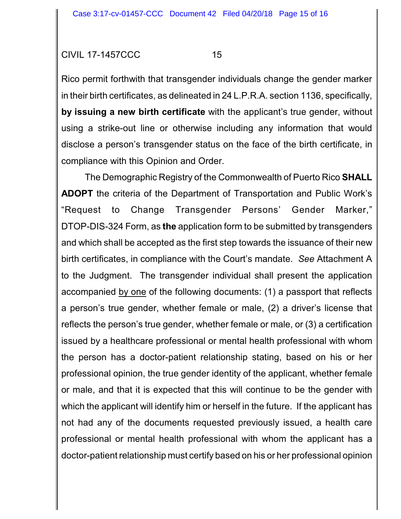Rico permit forthwith that transgender individuals change the gender marker in their birth certificates, as delineated in 24 L.P.R.A. section 1136, specifically, **by issuing a new birth certificate** with the applicant's true gender, without using a strike-out line or otherwise including any information that would disclose a person's transgender status on the face of the birth certificate, in compliance with this Opinion and Order.

The Demographic Registry of the Commonwealth of Puerto Rico **SHALL ADOPT** the criteria of the Department of Transportation and Public Work's "Request to Change Transgender Persons' Gender Marker," DTOP-DIS-324 Form, as **the** application form to be submitted by transgenders and which shall be accepted as the first step towards the issuance of their new birth certificates, in compliance with the Court's mandate. *See* Attachment A to the Judgment. The transgender individual shall present the application accompanied by one of the following documents: (1) a passport that reflects a person's true gender, whether female or male, (2) a driver's license that reflects the person's true gender, whether female or male, or (3) a certification issued by a healthcare professional or mental health professional with whom the person has a doctor-patient relationship stating, based on his or her professional opinion, the true gender identity of the applicant, whether female or male, and that it is expected that this will continue to be the gender with which the applicant will identify him or herself in the future. If the applicant has not had any of the documents requested previously issued, a health care professional or mental health professional with whom the applicant has a doctor-patient relationship must certify based on his or her professional opinion